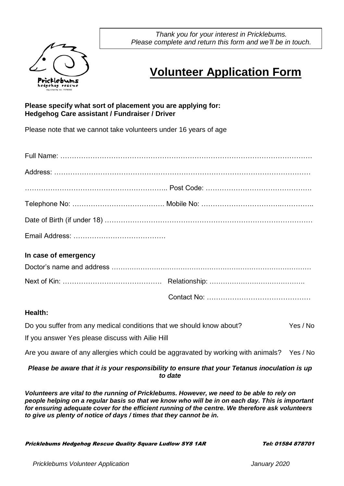

*Thank you for your interest in Pricklebums. Please complete and return this form and we'll be in touch.*

## **Volunteer Application Form**

## **Please specify what sort of placement you are applying for: Hedgehog Care assistant / Fundraiser / Driver**

Please note that we cannot take volunteers under 16 years of age

| In case of emergency                                                                         |         |          |
|----------------------------------------------------------------------------------------------|---------|----------|
|                                                                                              |         |          |
|                                                                                              |         |          |
|                                                                                              |         |          |
| <b>Health:</b>                                                                               |         |          |
| Do you suffer from any medical conditions that we should know about?                         |         | Yes / No |
| If you answer Yes please discuss with Ailie Hill                                             |         |          |
| Are you aware of any allergies which could be aggravated by working with animals? Yes / No   |         |          |
| Please be aware that it is your responsibility to ensure that your Tetanus inoculation is up | to date |          |
| Volunteers are vital to the running of Pricklebums. However, we need to be able to rely on   |         |          |

*people helping on a regular basis so that we know who will be in on each day. This is important for ensuring adequate cover for the efficient running of the centre. We therefore ask volunteers to give us plenty of notice of days / times that they cannot be in.*

Pricklebums Hedgehog Rescue Quality Square Ludlow SY8 1AR Tel: 01584 878701